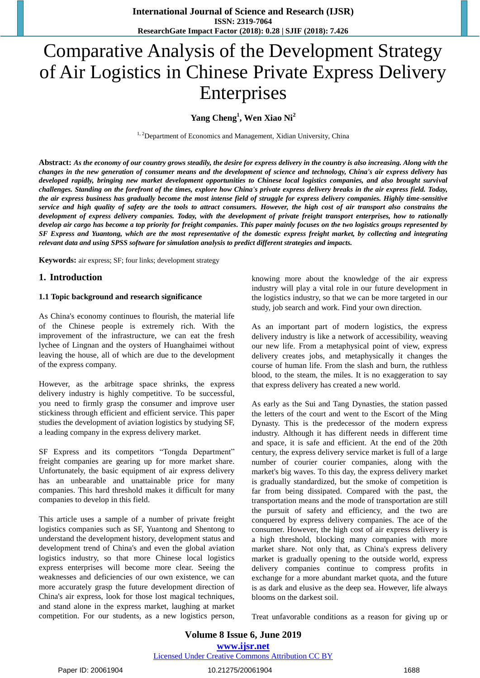# Comparative Analysis of the Development Strategy of Air Logistics in Chinese Private Express Delivery Enterprises

**Yang Cheng<sup>1</sup> , Wen Xiao Ni<sup>2</sup>**

<sup>1, 2</sup>Department of Economics and Management, Xidian University, China

**Abstract:** *As the economy of our country grows steadily, the desire for express delivery in the country is also increasing. Along with the changes in the new generation of consumer means and the development of science and technology, China's air express delivery has developed rapidly, bringing new market development opportunities to Chinese local logistics companies, and also brought survival challenges. Standing on the forefront of the times, explore how China's private express delivery breaks in the air express field. Today, the air express business has gradually become the most intense field of struggle for express delivery companies. Highly time-sensitive service and high quality of safety are the tools to attract consumers. However, the high cost of air transport also constrains the development of express delivery companies. Today, with the development of private freight transport enterprises, how to rationally develop air cargo has become a top priority for freight companies. This paper mainly focuses on the two logistics groups represented by SF Express and Yuantong, which are the most representative of the domestic express freight market, by collecting and integrating relevant data and using SPSS software for simulation analysis to predict different strategies and impacts.*

**Keywords:** air express; SF; four links; development strategy

## **1. Introduction**

#### **1.1 Topic background and research significance**

As China's economy continues to flourish, the material life of the Chinese people is extremely rich. With the improvement of the infrastructure, we can eat the fresh lychee of Lingnan and the oysters of Huanghaimei without leaving the house, all of which are due to the development of the express company.

However, as the arbitrage space shrinks, the express delivery industry is highly competitive. To be successful, you need to firmly grasp the consumer and improve user stickiness through efficient and efficient service. This paper studies the development of aviation logistics by studying SF, a leading company in the express delivery market.

SF Express and its competitors "Tongda Department" freight companies are gearing up for more market share. Unfortunately, the basic equipment of air express delivery has an unbearable and unattainable price for many companies. This hard threshold makes it difficult for many companies to develop in this field.

This article uses a sample of a number of private freight logistics companies such as SF, Yuantong and Shentong to understand the development history, development status and development trend of China's and even the global aviation logistics industry, so that more Chinese local logistics express enterprises will become more clear. Seeing the weaknesses and deficiencies of our own existence, we can more accurately grasp the future development direction of China's air express, look for those lost magical techniques, and stand alone in the express market, laughing at market competition. For our students, as a new logistics person,

knowing more about the knowledge of the air express industry will play a vital role in our future development in the logistics industry, so that we can be more targeted in our study, job search and work. Find your own direction.

As an important part of modern logistics, the express delivery industry is like a network of accessibility, weaving our new life. From a metaphysical point of view, express delivery creates jobs, and metaphysically it changes the course of human life. From the slash and burn, the ruthless blood, to the steam, the miles. It is no exaggeration to say that express delivery has created a new world.

As early as the Sui and Tang Dynasties, the station passed the letters of the court and went to the Escort of the Ming Dynasty. This is the predecessor of the modern express industry. Although it has different needs in different time and space, it is safe and efficient. At the end of the 20th century, the express delivery service market is full of a large number of courier courier companies, along with the market's big waves. To this day, the express delivery market is gradually standardized, but the smoke of competition is far from being dissipated. Compared with the past, the transportation means and the mode of transportation are still the pursuit of safety and efficiency, and the two are conquered by express delivery companies. The ace of the consumer. However, the high cost of air express delivery is a high threshold, blocking many companies with more market share. Not only that, as China's express delivery market is gradually opening to the outside world, express delivery companies continue to compress profits in exchange for a more abundant market quota, and the future is as dark and elusive as the deep sea. However, life always blooms on the darkest soil.

Treat unfavorable conditions as a reason for giving up or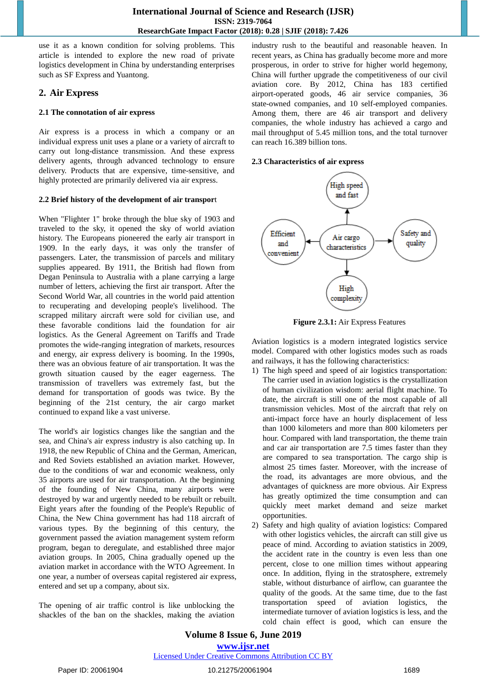use it as a known condition for solving problems. This article is intended to explore the new road of private logistics development in China by understanding enterprises such as SF Express and Yuantong.

## **2. Air Express**

## **2.1 The connotation of air express**

Air express is a process in which a company or an individual express unit uses a plane or a variety of aircraft to carry out long-distance transmission. And these express delivery agents, through advanced technology to ensure delivery. Products that are expensive, time-sensitive, and highly protected are primarily delivered via air express.

## **2.2 Brief history of the development of air transpor**t

When "Flighter 1" broke through the blue sky of 1903 and traveled to the sky, it opened the sky of world aviation history. The Europeans pioneered the early air transport in 1909. In the early days, it was only the transfer of passengers. Later, the transmission of parcels and military supplies appeared. By 1911, the British had flown from Degan Peninsula to Australia with a plane carrying a large number of letters, achieving the first air transport. After the Second World War, all countries in the world paid attention to recuperating and developing people's livelihood. The scrapped military aircraft were sold for civilian use, and these favorable conditions laid the foundation for air logistics. As the General Agreement on Tariffs and Trade promotes the wide-ranging integration of markets, resources and energy, air express delivery is booming. In the 1990s, there was an obvious feature of air transportation. It was the growth situation caused by the eager eagerness. The transmission of travellers was extremely fast, but the demand for transportation of goods was twice. By the beginning of the 21st century, the air cargo market continued to expand like a vast universe.

The world's air logistics changes like the sangtian and the sea, and China's air express industry is also catching up. In 1918, the new Republic of China and the German, American, and Red Soviets established an aviation market. However, due to the conditions of war and economic weakness, only 35 airports are used for air transportation. At the beginning of the founding of New China, many airports were destroyed by war and urgently needed to be rebuilt or rebuilt. Eight years after the founding of the People's Republic of China, the New China government has had 118 aircraft of various types. By the beginning of this century, the government passed the aviation management system reform program, began to deregulate, and established three major aviation groups. In 2005, China gradually opened up the aviation market in accordance with the WTO Agreement. In one year, a number of overseas capital registered air express, entered and set up a company, about six.

The opening of air traffic control is like unblocking the shackles of the ban on the shackles, making the aviation industry rush to the beautiful and reasonable heaven. In recent years, as China has gradually become more and more prosperous, in order to strive for higher world hegemony, China will further upgrade the competitiveness of our civil aviation core. By 2012, China has 183 certified airport-operated goods, 46 air service companies, 36 state-owned companies, and 10 self-employed companies. Among them, there are 46 air transport and delivery companies, the whole industry has achieved a cargo and mail throughput of 5.45 million tons, and the total turnover can reach 16.389 billion tons.

## **2.3 Characteristics of air express**



**Figure 2.3.1:** Air Express Features

Aviation logistics is a modern integrated logistics service model. Compared with other logistics modes such as roads and railways, it has the following characteristics:

- 1) The high speed and speed of air logistics transportation: The carrier used in aviation logistics is the crystallization of human civilization wisdom: aerial flight machine. To date, the aircraft is still one of the most capable of all transmission vehicles. Most of the aircraft that rely on anti-impact force have an hourly displacement of less than 1000 kilometers and more than 800 kilometers per hour. Compared with land transportation, the theme train and car air transportation are 7.5 times faster than they are compared to sea transportation. The cargo ship is almost 25 times faster. Moreover, with the increase of the road, its advantages are more obvious, and the advantages of quickness are more obvious. Air Express has greatly optimized the time consumption and can quickly meet market demand and seize market opportunities.
- 2) Safety and high quality of aviation logistics: Compared with other logistics vehicles, the aircraft can still give us peace of mind. According to aviation statistics in 2009, the accident rate in the country is even less than one percent, close to one million times without appearing once. In addition, flying in the stratosphere, extremely stable, without disturbance of airflow, can guarantee the quality of the goods. At the same time, due to the fast transportation speed of aviation logistics, the intermediate turnover of aviation logistics is less, and the cold chain effect is good, which can ensure the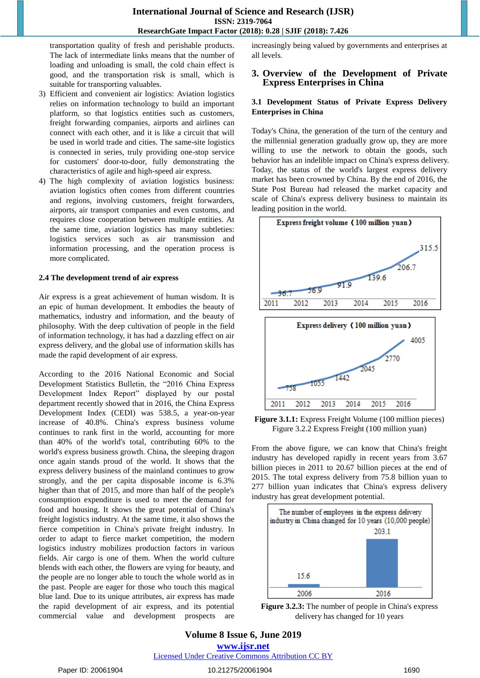transportation quality of fresh and perishable products. The lack of intermediate links means that the number of loading and unloading is small, the cold chain effect is good, and the transportation risk is small, which is suitable for transporting valuables.

- 3) Efficient and convenient air logistics: Aviation logistics relies on information technology to build an important platform, so that logistics entities such as customers, freight forwarding companies, airports and airlines can connect with each other, and it is like a circuit that will be used in world trade and cities. The same-site logistics is connected in series, truly providing one-stop service for customers' door-to-door, fully demonstrating the characteristics of agile and high-speed air express.
- 4) The high complexity of aviation logistics business: aviation logistics often comes from different countries and regions, involving customers, freight forwarders, airports, air transport companies and even customs, and requires close cooperation between multiple entities. At the same time, aviation logistics has many subtleties: logistics services such as air transmission and information processing, and the operation process is more complicated.

#### **2.4 The development trend of air express**

Air express is a great achievement of human wisdom. It is an epic of human development. It embodies the beauty of mathematics, industry and information, and the beauty of philosophy. With the deep cultivation of people in the field of information technology, it has had a dazzling effect on air express delivery, and the global use of information skills has made the rapid development of air express.

According to the 2016 National Economic and Social Development Statistics Bulletin, the "2016 China Express Development Index Report" displayed by our postal department recently showed that in 2016, the China Express Development Index (CEDI) was 538.5, a year-on-year increase of 40.8%. China's express business volume continues to rank first in the world, accounting for more than 40% of the world's total, contributing 60% to the world's express business growth. China, the sleeping dragon once again stands proud of the world. It shows that the express delivery business of the mainland continues to grow strongly, and the per capita disposable income is 6.3% higher than that of 2015, and more than half of the people's consumption expenditure is used to meet the demand for food and housing. It shows the great potential of China's freight logistics industry. At the same time, it also shows the fierce competition in China's private freight industry. In order to adapt to fierce market competition, the modern logistics industry mobilizes production factors in various fields. Air cargo is one of them. When the world culture blends with each other, the flowers are vying for beauty, and the people are no longer able to touch the whole world as in the past. People are eager for those who touch this magical blue land. Due to its unique attributes, air express has made the rapid development of air express, and its potential commercial value and development prospects are

increasingly being valued by governments and enterprises at all levels.

## **3. Overview of the Development of Private Express Enterprises in China**

#### **3.1 Development Status of Private Express Delivery Enterprises in China**

Today's China, the generation of the turn of the century and the millennial generation gradually grow up, they are more willing to use the network to obtain the goods, such behavior has an indelible impact on China's express delivery. Today, the status of the world's largest express delivery market has been crowned by China. By the end of 2016, the State Post Bureau had released the market capacity and scale of China's express delivery business to maintain its leading position in the world.



**Figure 3.1.1:** Express Freight Volume (100 million pieces) Figure 3.2.2 Express Freight (100 million yuan)

From the above figure, we can know that China's freight industry has developed rapidly in recent years from 3.67 billion pieces in 2011 to 20.67 billion pieces at the end of 2015. The total express delivery from 75.8 billion yuan to 277 billion yuan indicates that China's express delivery industry has great development potential.



**Figure 3.2.3:** The number of people in China's express delivery has changed for 10 years

# **Volume 8 Issue 6, June 2019 www.ijsr.net**

Licensed Under Creative Commons Attribution CC BY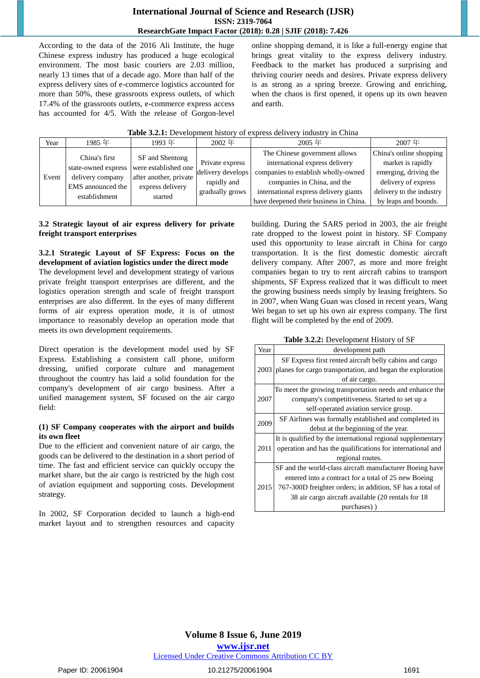According to the data of the 2016 Ali Institute, the huge Chinese express industry has produced a huge ecological environment. The most basic couriers are 2.03 million, nearly 13 times that of a decade ago. More than half of the express delivery sites of e-commerce logistics accounted for more than 50%, these grassroots express outlets, of which 17.4% of the grassroots outlets, e-commerce express access has accounted for 4/5. With the release of Gorgon-level

online shopping demand, it is like a full-energy engine that brings great vitality to the express delivery industry. Feedback to the market has produced a surprising and thriving courier needs and desires. Private express delivery is as strong as a spring breeze. Growing and enriching, when the chaos is first opened, it opens up its own heaven and earth.

| Year  | 1985 年                                                                                         | 1993 年                                                                                           | $2002$ 年                                                               | $2005$ 年                                                                                                                                                                                                                 | 2007年                                                                                                                                            |
|-------|------------------------------------------------------------------------------------------------|--------------------------------------------------------------------------------------------------|------------------------------------------------------------------------|--------------------------------------------------------------------------------------------------------------------------------------------------------------------------------------------------------------------------|--------------------------------------------------------------------------------------------------------------------------------------------------|
| Event | China's first<br>state-owned express<br>delivery company<br>EMS announced the<br>establishment | SF and Shentong<br>were established one<br>after another, private<br>express delivery<br>started | Private express<br>delivery develops<br>rapidly and<br>gradually grows | The Chinese government allows<br>international express delivery<br>companies to establish wholly-owned<br>companies in China, and the<br>international express delivery giants<br>have deepened their business in China. | China's online shopping<br>market is rapidly<br>emerging, driving the<br>delivery of express<br>delivery to the industry<br>by leaps and bounds. |

| <b>Table 3.2.1:</b> Development history of express delivery industry in China |  |  |  |
|-------------------------------------------------------------------------------|--|--|--|
|-------------------------------------------------------------------------------|--|--|--|

## **3.2 Strategic layout of air express delivery for private freight transport enterprises**

#### **3.2.1 Strategic Layout of SF Express: Focus on the development of aviation logistics under the direct mode**

The development level and development strategy of various private freight transport enterprises are different, and the logistics operation strength and scale of freight transport enterprises are also different. In the eyes of many different forms of air express operation mode, it is of utmost importance to reasonably develop an operation mode that meets its own development requirements.

Direct operation is the development model used by SF Express. Establishing a consistent call phone, uniform dressing, unified corporate culture and management throughout the country has laid a solid foundation for the company's development of air cargo business. After a unified management system, SF focused on the air cargo field:

## **(1) SF Company cooperates with the airport and builds its own fleet**

Due to the efficient and convenient nature of air cargo, the goods can be delivered to the destination in a short period of time. The fast and efficient service can quickly occupy the market share, but the air cargo is restricted by the high cost of aviation equipment and supporting costs. Development strategy.

In 2002, SF Corporation decided to launch a high-end market layout and to strengthen resources and capacity

building. During the SARS period in 2003, the air freight rate dropped to the lowest point in history. SF Company used this opportunity to lease aircraft in China for cargo transportation. It is the first domestic domestic aircraft delivery company. After 2007, as more and more freight companies began to try to rent aircraft cabins to transport shipments, SF Express realized that it was difficult to meet the growing business needs simply by leasing freighters. So in 2007, when Wang Guan was closed in recent years, Wang Wei began to set up his own air express company. The first flight will be completed by the end of 2009.

|  | Table 3.2.2: Development History of SF |
|--|----------------------------------------|
|--|----------------------------------------|

| Year | development path                                            |
|------|-------------------------------------------------------------|
|      | SF Express first rented aircraft belly cabins and cargo     |
| 2003 | planes for cargo transportation, and began the exploration  |
|      | of air cargo.                                               |
|      | To meet the growing transportation needs and enhance the    |
| 2007 | company's competitiveness. Started to set up a              |
|      | self-operated aviation service group.                       |
| 2009 | SF Airlines was formally established and completed its      |
|      | debut at the beginning of the year.                         |
|      | It is qualified by the international regional supplementary |
| 2011 | operation and has the qualifications for international and  |
|      | regional routes.                                            |
|      | SF and the world-class aircraft manufacturer Boeing have    |
|      | entered into a contract for a total of 25 new Boeing        |
| 2015 | 767-300D freighter orders; in addition, SF has a total of   |
|      | 38 air cargo aircraft available (20 rentals for 18          |
|      | purchases))                                                 |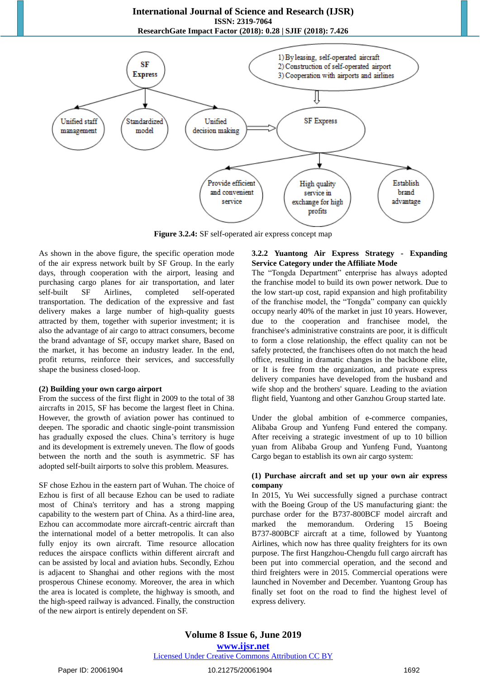

**Figure 3.2.4:** SF self-operated air express concept map

As shown in the above figure, the specific operation mode of the air express network built by SF Group. In the early days, through cooperation with the airport, leasing and purchasing cargo planes for air transportation, and later self-built SF Airlines, completed self-operated transportation. The dedication of the expressive and fast delivery makes a large number of high-quality guests attracted by them, together with superior investment; it is also the advantage of air cargo to attract consumers, become the brand advantage of SF, occupy market share, Based on the market, it has become an industry leader. In the end, profit returns, reinforce their services, and successfully shape the business closed-loop.

#### **(2) Building your own cargo airport**

From the success of the first flight in 2009 to the total of 38 aircrafts in 2015, SF has become the largest fleet in China. However, the growth of aviation power has continued to deepen. The sporadic and chaotic single-point transmission has gradually exposed the clues. China's territory is huge and its development is extremely uneven. The flow of goods between the north and the south is asymmetric. SF has adopted self-built airports to solve this problem. Measures.

SF chose Ezhou in the eastern part of Wuhan. The choice of Ezhou is first of all because Ezhou can be used to radiate most of China's territory and has a strong mapping capability to the western part of China. As a third-line area, Ezhou can accommodate more aircraft-centric aircraft than the international model of a better metropolis. It can also fully enjoy its own aircraft. Time resource allocation reduces the airspace conflicts within different aircraft and can be assisted by local and aviation hubs. Secondly, Ezhou is adjacent to Shanghai and other regions with the most prosperous Chinese economy. Moreover, the area in which the area is located is complete, the highway is smooth, and the high-speed railway is advanced. Finally, the construction of the new airport is entirely dependent on SF.

### **3.2.2 Yuantong Air Express Strategy - Expanding Service Category under the Affiliate Mode**

The "Tongda Department" enterprise has always adopted the franchise model to build its own power network. Due to the low start-up cost, rapid expansion and high profitability of the franchise model, the "Tongda" company can quickly occupy nearly 40% of the market in just 10 years. However, due to the cooperation and franchisee model, the franchisee's administrative constraints are poor, it is difficult to form a close relationship, the effect quality can not be safely protected, the franchisees often do not match the head office, resulting in dramatic changes in the backbone elite, or It is free from the organization, and private express delivery companies have developed from the husband and wife shop and the brothers' square. Leading to the aviation flight field, Yuantong and other Ganzhou Group started late.

Under the global ambition of e-commerce companies, Alibaba Group and Yunfeng Fund entered the company. After receiving a strategic investment of up to 10 billion yuan from Alibaba Group and Yunfeng Fund, Yuantong Cargo began to establish its own air cargo system:

## **(1) Purchase aircraft and set up your own air express company**

In 2015, Yu Wei successfully signed a purchase contract with the Boeing Group of the US manufacturing giant: the purchase order for the B737-800BCF model aircraft and marked the memorandum. Ordering 15 Boeing B737-800BCF aircraft at a time, followed by Yuantong Airlines, which now has three quality freighters for its own purpose. The first Hangzhou-Chengdu full cargo aircraft has been put into commercial operation, and the second and third freighters were in 2015. Commercial operations were launched in November and December. Yuantong Group has finally set foot on the road to find the highest level of express delivery.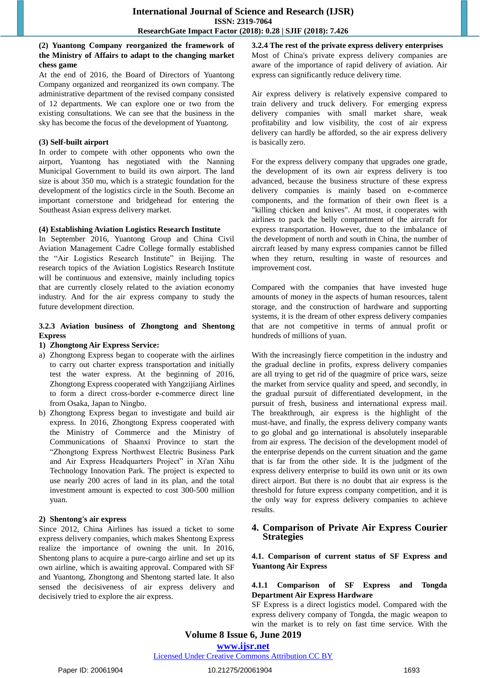## **(2) Yuantong Company reorganized the framework of the Ministry of Affairs to adapt to the changing market chess game**

At the end of 2016, the Board of Directors of Yuantong Company organized and reorganized its own company. The administrative department of the revised company consisted of 12 departments. We can explore one or two from the existing consultations. We can see that the business in the sky has become the focus of the development of Yuantong.

#### **(3) Self-built airport**

In order to compete with other opponents who own the airport, Yuantong has negotiated with the Nanning Municipal Government to build its own airport. The land size is about 350 mu, which is a strategic foundation for the development of the logistics circle in the South. Become an important cornerstone and bridgehead for entering the Southeast Asian express delivery market.

#### **(4) Establishing Aviation Logistics Research Institute**

In September 2016, Yuantong Group and China Civil Aviation Management Cadre College formally established the "Air Logistics Research Institute" in Beijing. The research topics of the Aviation Logistics Research Institute will be continuous and extensive, mainly including topics that are currently closely related to the aviation economy industry. And for the air express company to study the future development direction.

#### **3.2.3 Aviation business of Zhongtong and Shentong Express**

#### **1) Zhongtong Air Express Service:**

- a) Zhongtong Express began to cooperate with the airlines to carry out charter express transportation and initially test the water express. At the beginning of 2016, Zhongtong Express cooperated with Yangzijiang Airlines to form a direct cross-border e-commerce direct line from Osaka, Japan to Ningbo.
- b) Zhongtong Express began to investigate and build air express. In 2016, Zhongtong Express cooperated with the Ministry of Commerce and the Ministry of Communications of Shaanxi Province to start the "Zhongtong Express Northwest Electric Business Park and Air Express Headquarters Project" in Xi'an Xihu Technology Innovation Park. The project is expected to use nearly 200 acres of land in its plan, and the total investment amount is expected to cost 300-500 million yuan.

#### **2) Shentong's air express**

Since 2012, China Airlines has issued a ticket to some express delivery companies, which makes Shentong Express realize the importance of owning the unit. In 2016, Shentong plans to acquire a pure-cargo airline and set up its own airline, which is awaiting approval. Compared with SF and Yuantong, Zhongtong and Shentong started late. It also sensed the decisiveness of air express delivery and decisively tried to explore the air express.

**3.2.4 The rest of the private express delivery enterprises** Most of China's private express delivery companies are aware of the importance of rapid delivery of aviation. Air express can significantly reduce delivery time.

Air express delivery is relatively expensive compared to train delivery and truck delivery. For emerging express delivery companies with small market share, weak profitability and low visibility, the cost of air express delivery can hardly be afforded, so the air express delivery is basically zero.

For the express delivery company that upgrades one grade, the development of its own air express delivery is too advanced, because the business structure of these express delivery companies is mainly based on e-commerce components, and the formation of their own fleet is a "killing chicken and knives". At most, it cooperates with airlines to pack the belly compartment of the aircraft for express transportation. However, due to the imbalance of the development of north and south in China, the number of aircraft leased by many express companies cannot be filled when they return, resulting in waste of resources and improvement cost.

Compared with the companies that have invested huge amounts of money in the aspects of human resources, talent storage, and the construction of hardware and supporting systems, it is the dream of other express delivery companies that are not competitive in terms of annual profit or hundreds of millions of yuan.

With the increasingly fierce competition in the industry and the gradual decline in profits, express delivery companies are all trying to get rid of the quagmire of price wars, seize the market from service quality and speed, and secondly, in the gradual pursuit of differentiated development, in the pursuit of fresh, business and international express mail. The breakthrough, air express is the highlight of the must-have, and finally, the express delivery company wants to go global and go international is absolutely inseparable from air express. The decision of the development model of the enterprise depends on the current situation and the game that is far from the other side. It is the judgment of the express delivery enterprise to build its own unit or its own direct airport. But there is no doubt that air express is the threshold for future express company competition, and it is the only way for express delivery companies to achieve results.

## **4. Comparison of Private Air Express Courier Strategies**

**4.1. Comparison of current status of SF Express and Yuantong Air Express**

## **4.1.1 Comparison of SF Express and Tongda Department Air Express Hardware**

SF Express is a direct logistics model. Compared with the express delivery company of Tongda, the magic weapon to win the market is to rely on fast time service. With the

## **Volume 8 Issue 6, June 2019 www.ijsr.net**

Licensed Under Creative Commons Attribution CC BY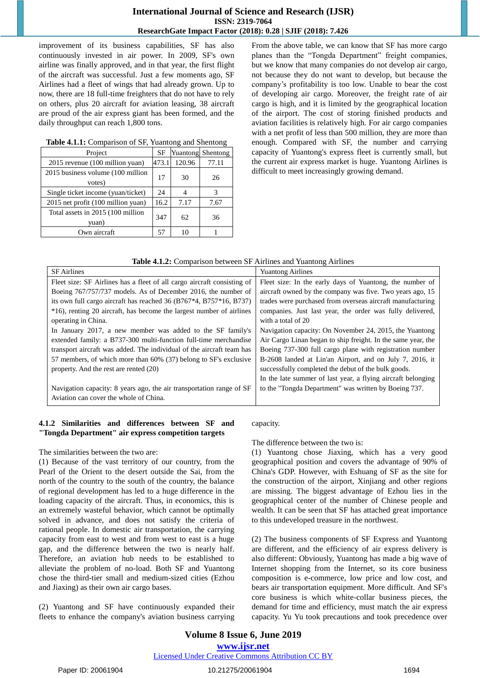improvement of its business capabilities, SF has also continuously invested in air power. In 2009, SF's own airline was finally approved, and in that year, the first flight of the aircraft was successful. Just a few moments ago, SF Airlines had a fleet of wings that had already grown. Up to now, there are 18 full-time freighters that do not have to rely on others, plus 20 aircraft for aviation leasing, 38 aircraft are proud of the air express giant has been formed, and the daily throughput can reach 1,800 tons.

| Project                                     | SF    | Yuantong | Shentong |
|---------------------------------------------|-------|----------|----------|
| 2015 revenue (100 million yuan)             | 473.1 | 120.96   | 77.11    |
| 2015 business volume (100 million<br>votes) | 17    | 30       | 26       |
| Single ticket income (yuan/ticket)          | 24    |          | 3        |
| 2015 net profit (100 million yuan)          | 16.2  | 7.17     | 7.67     |
| Total assets in 2015 (100 million<br>yuan)  |       | 62       | 36       |
| Own aircraft                                | 57    | 10       |          |

#### **Table 4.1.1:** Comparison of SF, Yuantong and Shentong

From the above table, we can know that SF has more cargo planes than the "Tongda Department" freight companies, but we know that many companies do not develop air cargo, not because they do not want to develop, but because the company's profitability is too low. Unable to bear the cost of developing air cargo. Moreover, the freight rate of air cargo is high, and it is limited by the geographical location of the airport. The cost of storing finished products and aviation facilities is relatively high. For air cargo companies with a net profit of less than 500 million, they are more than enough. Compared with SF, the number and carrying capacity of Yuantong's express fleet is currently small, but the current air express market is huge. Yuantong Airlines is difficult to meet increasingly growing demand.

|  |  |  |  | Table 4.1.2: Comparison between SF Airlines and Yuantong Airlines |
|--|--|--|--|-------------------------------------------------------------------|
|--|--|--|--|-------------------------------------------------------------------|

| <b>SF</b> Airlines                                                      | <b>Yuantong Airlines</b>                                     |
|-------------------------------------------------------------------------|--------------------------------------------------------------|
| Fleet size: SF Airlines has a fleet of all cargo aircraft consisting of | Fleet size: In the early days of Yuantong, the number of     |
| Boeing 767/757/737 models. As of December 2016, the number of           | aircraft owned by the company was five. Two years ago, 15    |
| its own full cargo aircraft has reached 36 (B767*4, B757*16, B737)      | trades were purchased from overseas aircraft manufacturing   |
| *16), renting 20 aircraft, has become the largest number of airlines    | companies. Just last year, the order was fully delivered,    |
| operating in China.                                                     | with a total of 20                                           |
| In January 2017, a new member was added to the SF family's              | Navigation capacity: On November 24, 2015, the Yuantong      |
| extended family: a B737-300 multi-function full-time merchandise        | Air Cargo Linan began to ship freight. In the same year, the |
| transport aircraft was added. The individual of the aircraft team has   | Boeing 737-300 full cargo plane with registration number     |
| 57 members, of which more than 60% (37) belong to SF's exclusive        | B-2608 landed at Lin'an Airport, and on July 7, 2016, it     |
| property. And the rest are rented (20)                                  | successfully completed the debut of the bulk goods.          |
|                                                                         | In the late summer of last year, a flying aircraft belonging |
| Navigation capacity: 8 years ago, the air transportation range of SF    | to the "Tongda Department" was written by Boeing 737.        |
| Aviation can cover the whole of China.                                  |                                                              |
|                                                                         |                                                              |

#### **4.1.2 Similarities and differences between SF and "Tongda Department" air express competition targets**

The similarities between the two are:

(1) Because of the vast territory of our country, from the Pearl of the Orient to the desert outside the Sai, from the north of the country to the south of the country, the balance of regional development has led to a huge difference in the loading capacity of the aircraft. Thus, in economics, this is an extremely wasteful behavior, which cannot be optimally solved in advance, and does not satisfy the criteria of rational people. In domestic air transportation, the carrying capacity from east to west and from west to east is a huge gap, and the difference between the two is nearly half. Therefore, an aviation hub needs to be established to alleviate the problem of no-load. Both SF and Yuantong chose the third-tier small and medium-sized cities (Ezhou and Jiaxing) as their own air cargo bases.

(2) Yuantong and SF have continuously expanded their fleets to enhance the company's aviation business carrying

capacity.

The difference between the two is:

(1) Yuantong chose Jiaxing, which has a very good geographical position and covers the advantage of 90% of China's GDP. However, with Eshuang of SF as the site for the construction of the airport, Xinjiang and other regions are missing. The biggest advantage of Ezhou lies in the geographical center of the number of Chinese people and wealth. It can be seen that SF has attached great importance to this undeveloped treasure in the northwest.

(2) The business components of SF Express and Yuantong are different, and the efficiency of air express delivery is also different: Obviously, Yuantong has made a big wave of Internet shopping from the Internet, so its core business composition is e-commerce, low price and low cost, and bears air transportation equipment. More difficult. And SF's core business is which white-collar business pieces, the demand for time and efficiency, must match the air express capacity. Yu Yu took precautions and took precedence over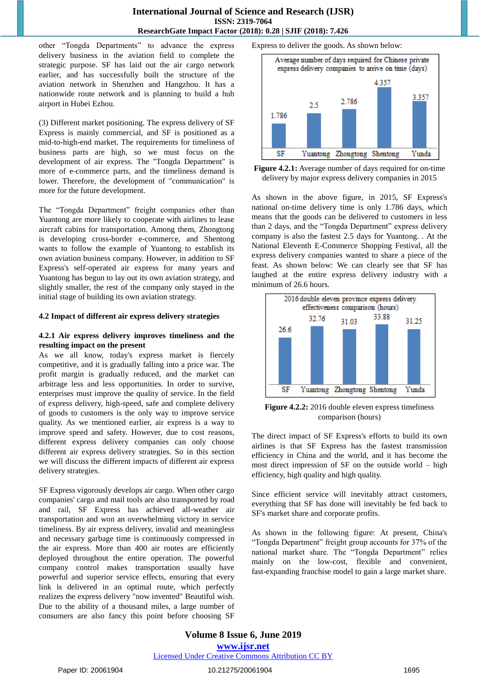other "Tongda Departments" to advance the express delivery business in the aviation field to complete the strategic purpose. SF has laid out the air cargo network earlier, and has successfully built the structure of the aviation network in Shenzhen and Hangzhou. It has a nationwide route network and is planning to build a hub airport in Hubei Ezhou.

(3) Different market positioning. The express delivery of SF Express is mainly commercial, and SF is positioned as a mid-to-high-end market. The requirements for timeliness of business parts are high, so we must focus on the development of air express. The "Tongda Department" is more of e-commerce parts, and the timeliness demand is lower. Therefore, the development of "communication" is more for the future development.

The "Tongda Department" freight companies other than Yuantong are more likely to cooperate with airlines to lease aircraft cabins for transportation. Among them, Zhongtong is developing cross-border e-commerce, and Shentong wants to follow the example of Yuantong to establish its own aviation business company. However, in addition to SF Express's self-operated air express for many years and Yuantong has begun to lay out its own aviation strategy, and slightly smaller, the rest of the company only stayed in the initial stage of building its own aviation strategy.

#### **4.2 Impact of different air express delivery strategies**

## **4.2.1 Air express delivery improves timeliness and the resulting impact on the present**

As we all know, today's express market is fiercely competitive, and it is gradually falling into a price war. The profit margin is gradually reduced, and the market can arbitrage less and less opportunities. In order to survive, enterprises must improve the quality of service. In the field of express delivery, high-speed, safe and complete delivery of goods to customers is the only way to improve service quality. As we mentioned earlier, air express is a way to improve speed and safety. However, due to cost reasons, different express delivery companies can only choose different air express delivery strategies. So in this section we will discuss the different impacts of different air express delivery strategies.

SF Express vigorously develops air cargo. When other cargo companies' cargo and mail tools are also transported by road and rail, SF Express has achieved all-weather air transportation and won an overwhelming victory in service timeliness. By air express delivery, invalid and meaningless and necessary garbage time is continuously compressed in the air express. More than 400 air routes are efficiently deployed throughout the entire operation. The powerful company control makes transportation usually have powerful and superior service effects, ensuring that every link is delivered in an optimal route, which perfectly realizes the express delivery "now invented" Beautiful wish. Due to the ability of a thousand miles, a large number of consumers are also fancy this point before choosing SF

Express to deliver the goods. As shown below:



**Figure 4.2.1:** Average number of days required for on-time delivery by major express delivery companies in 2015

As shown in the above figure, in 2015, SF Express's national on-time delivery time is only 1.786 days, which means that the goods can be delivered to customers in less than 2 days, and the "Tongda Department" express delivery company is also the fastest 2.5 days for Yuantong. . At the National Eleventh E-Commerce Shopping Festival, all the express delivery companies wanted to share a piece of the feast. As shown below: We can clearly see that SF has laughed at the entire express delivery industry with a minimum of 26.6 hours.



**Figure 4.2.2:** 2016 double eleven express timeliness comparison (hours)

The direct impact of SF Express's efforts to build its own airlines is that SF Express has the fastest transmission efficiency in China and the world, and it has become the most direct impression of SF on the outside world – high efficiency, high quality and high quality.

Since efficient service will inevitably attract customers, everything that SF has done will inevitably be fed back to SF's market share and corporate profits.

As shown in the following figure: At present, China's "Tongda Department" freight group accounts for 37% of the national market share. The "Tongda Department" relies mainly on the low-cost, flexible and convenient, fast-expanding franchise model to gain a large market share.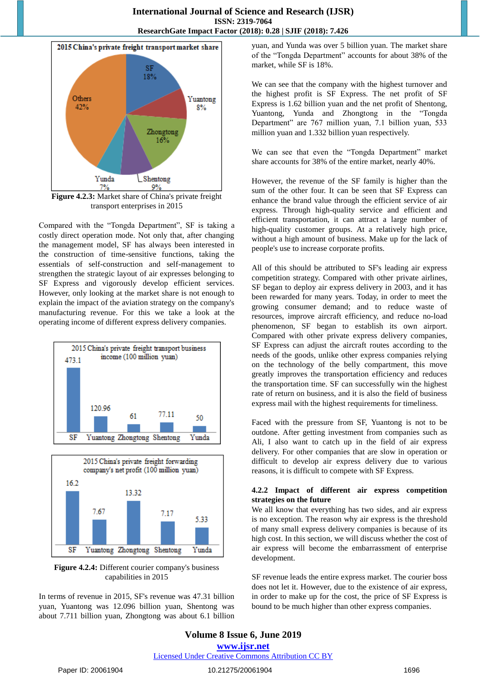

**Figure 4.2.3:** Market share of China's private freight transport enterprises in 2015

Compared with the "Tongda Department", SF is taking a costly direct operation mode. Not only that, after changing the management model, SF has always been interested in the construction of time-sensitive functions, taking the essentials of self-construction and self-management to strengthen the strategic layout of air expresses belonging to SF Express and vigorously develop efficient services. However, only looking at the market share is not enough to explain the impact of the aviation strategy on the company's manufacturing revenue. For this we take a look at the operating income of different express delivery companies.





**Figure 4.2.4:** Different courier company's business capabilities in 2015

In terms of revenue in 2015, SF's revenue was 47.31 billion yuan, Yuantong was 12.096 billion yuan, Shentong was about 7.711 billion yuan, Zhongtong was about 6.1 billion yuan, and Yunda was over 5 billion yuan. The market share of the "Tongda Department" accounts for about 38% of the market, while SF is 18%.

We can see that the company with the highest turnover and the highest profit is SF Express. The net profit of SF Express is 1.62 billion yuan and the net profit of Shentong, Yuantong, Yunda and Zhongtong in the "Tongda Department" are 767 million yuan, 7.1 billion yuan, 533 million yuan and 1.332 billion yuan respectively.

We can see that even the "Tongda Department" market share accounts for 38% of the entire market, nearly 40%.

However, the revenue of the SF family is higher than the sum of the other four. It can be seen that SF Express can enhance the brand value through the efficient service of air express. Through high-quality service and efficient and efficient transportation, it can attract a large number of high-quality customer groups. At a relatively high price, without a high amount of business. Make up for the lack of people's use to increase corporate profits.

All of this should be attributed to SF's leading air express competition strategy. Compared with other private airlines, SF began to deploy air express delivery in 2003, and it has been rewarded for many years. Today, in order to meet the growing consumer demand; and to reduce waste of resources, improve aircraft efficiency, and reduce no-load phenomenon, SF began to establish its own airport. Compared with other private express delivery companies, SF Express can adjust the aircraft routes according to the needs of the goods, unlike other express companies relying on the technology of the belly compartment, this move greatly improves the transportation efficiency and reduces the transportation time. SF can successfully win the highest rate of return on business, and it is also the field of business express mail with the highest requirements for timeliness.

Faced with the pressure from SF, Yuantong is not to be outdone. After getting investment from companies such as Ali, I also want to catch up in the field of air express delivery. For other companies that are slow in operation or difficult to develop air express delivery due to various reasons, it is difficult to compete with SF Express.

## **4.2.2 Impact of different air express competition strategies on the future**

We all know that everything has two sides, and air express is no exception. The reason why air express is the threshold of many small express delivery companies is because of its high cost. In this section, we will discuss whether the cost of air express will become the embarrassment of enterprise development.

SF revenue leads the entire express market. The courier boss does not let it. However, due to the existence of air express, in order to make up for the cost, the price of SF Express is bound to be much higher than other express companies.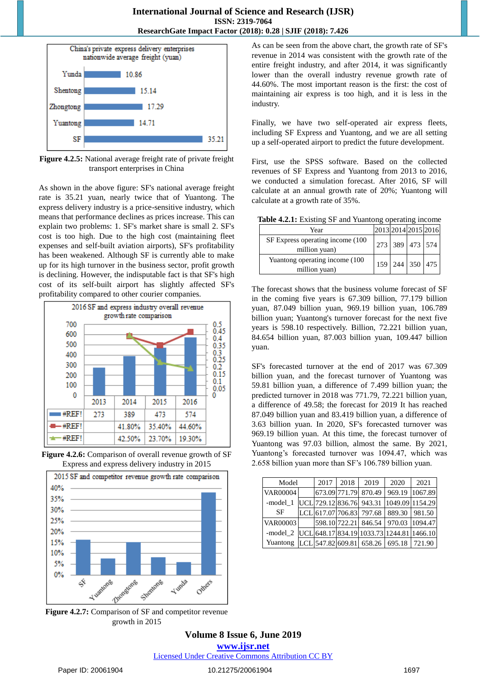

**Figure 4.2.5:** National average freight rate of private freight transport enterprises in China

As shown in the above figure: SF's national average freight rate is 35.21 yuan, nearly twice that of Yuantong. The express delivery industry is a price-sensitive industry, which means that performance declines as prices increase. This can explain two problems: 1. SF's market share is small 2. SF's cost is too high. Due to the high cost (maintaining fleet expenses and self-built aviation airports), SF's profitability has been weakened. Although SF is currently able to make up for its high turnover in the business sector, profit growth is declining. However, the indisputable fact is that SF's high cost of its self-built airport has slightly affected SF's profitability compared to other courier companies.







**Figure 4.2.7:** Comparison of SF and competitor revenue growth in 2015

As can be seen from the above chart, the growth rate of SF's revenue in 2014 was consistent with the growth rate of the entire freight industry, and after 2014, it was significantly lower than the overall industry revenue growth rate of 44.60%. The most important reason is the first: the cost of maintaining air express is too high, and it is less in the industry.

Finally, we have two self-operated air express fleets, including SF Express and Yuantong, and we are all setting up a self-operated airport to predict the future development.

First, use the SPSS software. Based on the collected revenues of SF Express and Yuantong from 2013 to 2016, we conducted a simulation forecast. After 2016, SF will calculate at an annual growth rate of 20%; Yuantong will calculate at a growth rate of 35%.

**Table 4.2.1:** Existing SF and Yuantong operating income

| Year                                               | 2013 2014 2015 2016 |  |                 |
|----------------------------------------------------|---------------------|--|-----------------|
| SF Express operating income (100)<br>million yuan) | 273 389 473 574     |  |                 |
| Yuantong operating income (100<br>million yuan)    |                     |  | 159 244 350 475 |

The forecast shows that the business volume forecast of SF in the coming five years is 67.309 billion, 77.179 billion yuan, 87.049 billion yuan, 969.19 billion yuan, 106.789 billion yuan; Yuantong's turnover forecast for the next five years is 598.10 respectively. Billion, 72.221 billion yuan, 84.654 billion yuan, 87.003 billion yuan, 109.447 billion yuan.

SF's forecasted turnover at the end of 2017 was 67.309 billion yuan, and the forecast turnover of Yuantong was 59.81 billion yuan, a difference of 7.499 billion yuan; the predicted turnover in 2018 was 771.79, 72.221 billion yuan, a difference of 49.58; the forecast for 2019 It has reached 87.049 billion yuan and 83.419 billion yuan, a difference of 3.63 billion yuan. In 2020, SF's forecasted turnover was 969.19 billion yuan. At this time, the forecast turnover of Yuantong was 97.03 billion, almost the same. By 2021, Yuantong's forecasted turnover was 1094.47, which was 2.658 billion yuan more than SF's 106.789 billion yuan.

| Model           | 2017 | 2018              | 2019                     | 2020   | 2021                                      |                 |
|-----------------|------|-------------------|--------------------------|--------|-------------------------------------------|-----------------|
| <b>VAR00004</b> |      |                   | 673.09 771.79            | 870.49 | 969.19                                    | 1067.89         |
| -model 1        |      |                   | UCL 729.12 836.76 943.31 |        |                                           | 1049.09 1154.29 |
| SF              |      |                   | LCL 617.07 706.83        | 797.68 | 889.30                                    | 981.50          |
| <b>VAR00003</b> |      |                   | 598.10 722.21            | 846.54 | 970.03                                    | 1094.47         |
| -model 2        |      |                   |                          |        | UCL 648.17 834.19 1033.73 1244.81 1466.10 |                 |
| Yuantong        |      | LCL 547.82 609.81 |                          | 658.26 | 695.18                                    | 721.90          |

**Volume 8 Issue 6, June 2019 www.ijsr.net** Licensed Under Creative Commons Attribution CC BY